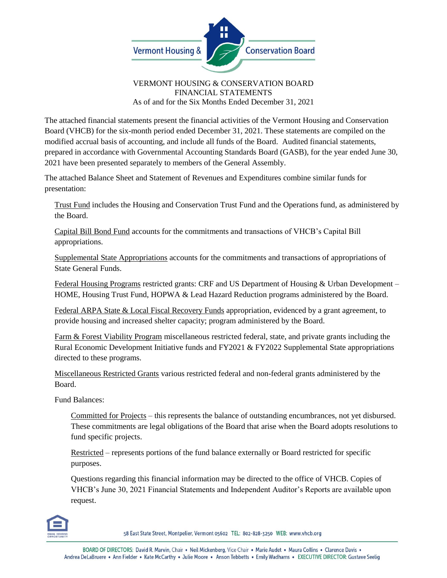

## VERMONT HOUSING & CONSERVATION BOARD FINANCIAL STATEMENTS As of and for the Six Months Ended December 31, 2021

The attached financial statements present the financial activities of the Vermont Housing and Conservation Board (VHCB) for the six-month period ended December 31, 2021. These statements are compiled on the modified accrual basis of accounting, and include all funds of the Board. Audited financial statements, prepared in accordance with Governmental Accounting Standards Board (GASB), for the year ended June 30, 2021 have been presented separately to members of the General Assembly.

The attached Balance Sheet and Statement of Revenues and Expenditures combine similar funds for presentation:

Trust Fund includes the Housing and Conservation Trust Fund and the Operations fund, as administered by the Board.

Capital Bill Bond Fund accounts for the commitments and transactions of VHCB's Capital Bill appropriations.

Supplemental State Appropriations accounts for the commitments and transactions of appropriations of State General Funds.

Federal Housing Programs restricted grants: CRF and US Department of Housing & Urban Development – HOME, Housing Trust Fund, HOPWA & Lead Hazard Reduction programs administered by the Board.

Federal ARPA State & Local Fiscal Recovery Funds appropriation, evidenced by a grant agreement, to provide housing and increased shelter capacity; program administered by the Board.

Farm & Forest Viability Program miscellaneous restricted federal, state, and private grants including the Rural Economic Development Initiative funds and FY2021 & FY2022 Supplemental State appropriations directed to these programs.

Miscellaneous Restricted Grants various restricted federal and non-federal grants administered by the Board.

Fund Balances:

Committed for Projects – this represents the balance of outstanding encumbrances, not yet disbursed. These commitments are legal obligations of the Board that arise when the Board adopts resolutions to fund specific projects.

Restricted – represents portions of the fund balance externally or Board restricted for specific purposes.

Questions regarding this financial information may be directed to the office of VHCB. Copies of VHCB's June 30, 2021 Financial Statements and Independent Auditor's Reports are available upon request.



58 East State Street, Montpelier, Vermont 05602 TEL: 802-828-3250 WEB: www.vhcb.org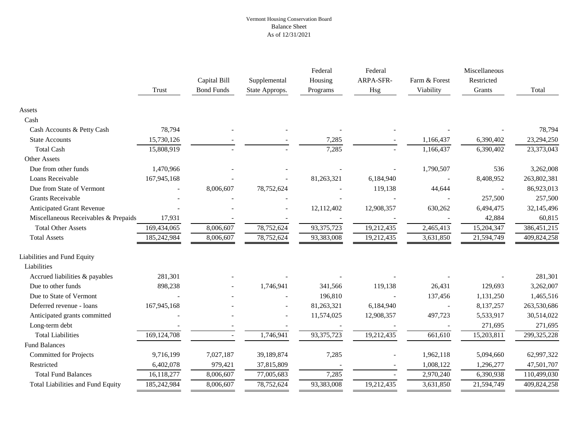## Vermont Housing Conservation Board Balance Sheet As of 12/31/2021

|                                          | <b>Trust</b>  | Capital Bill<br><b>Bond Funds</b> | Supplemental<br>State Approps. | Federal<br>Housing<br>Programs | Federal<br>ARPA-SFR-<br>Hsg | Farm & Forest<br>Viability | Miscellaneous<br>Restricted<br>Grants | Total         |
|------------------------------------------|---------------|-----------------------------------|--------------------------------|--------------------------------|-----------------------------|----------------------------|---------------------------------------|---------------|
|                                          |               |                                   |                                |                                |                             |                            |                                       |               |
| Assets                                   |               |                                   |                                |                                |                             |                            |                                       |               |
| Cash                                     |               |                                   |                                |                                |                             |                            |                                       |               |
| Cash Accounts & Petty Cash               | 78,794        |                                   |                                |                                |                             |                            |                                       | 78,794        |
| <b>State Accounts</b>                    | 15,730,126    |                                   |                                | 7,285                          |                             | 1,166,437                  | 6,390,402                             | 23,294,250    |
| <b>Total Cash</b>                        | 15,808,919    |                                   |                                | 7,285                          |                             | 1,166,437                  | 6,390,402                             | 23,373,043    |
| <b>Other Assets</b>                      |               |                                   |                                |                                |                             |                            |                                       |               |
| Due from other funds                     | 1,470,966     |                                   |                                |                                |                             | 1,790,507                  | 536                                   | 3,262,008     |
| Loans Receivable                         | 167,945,168   |                                   |                                | 81,263,321                     | 6,184,940                   |                            | 8,408,952                             | 263,802,381   |
| Due from State of Vermont                |               | 8,006,607                         | 78,752,624                     |                                | 119,138                     | 44,644                     |                                       | 86,923,013    |
| <b>Grants Receivable</b>                 |               |                                   |                                |                                |                             |                            | 257,500                               | 257,500       |
| Anticipated Grant Revenue                |               |                                   |                                | 12,112,402                     | 12,908,357                  | 630,262                    | 6,494,475                             | 32,145,496    |
| Miscellaneous Receivables & Prepaids     | 17,931        |                                   |                                |                                |                             |                            | 42,884                                | 60,815        |
| <b>Total Other Assets</b>                | 169,434,065   | 8,006,607                         | 78,752,624                     | 93, 375, 723                   | 19,212,435                  | 2,465,413                  | 15,204,347                            | 386, 451, 215 |
| <b>Total Assets</b>                      | 185,242,984   | 8,006,607                         | 78,752,624                     | 93,383,008                     | 19,212,435                  | 3,631,850                  | 21,594,749                            | 409,824,258   |
| Liabilities and Fund Equity              |               |                                   |                                |                                |                             |                            |                                       |               |
| Liabilities                              |               |                                   |                                |                                |                             |                            |                                       |               |
| Accrued liabilities & payables           | 281,301       |                                   |                                |                                |                             |                            |                                       | 281,301       |
| Due to other funds                       | 898,238       |                                   | 1,746,941                      | 341,566                        | 119,138                     | 26,431                     | 129,693                               | 3,262,007     |
| Due to State of Vermont                  |               |                                   |                                | 196,810                        |                             | 137,456                    | 1,131,250                             | 1,465,516     |
| Deferred revenue - loans                 | 167,945,168   |                                   |                                | 81,263,321                     | 6,184,940                   |                            | 8,137,257                             | 263,530,686   |
| Anticipated grants committed             |               |                                   |                                | 11,574,025                     | 12,908,357                  | 497,723                    | 5,533,917                             | 30,514,022    |
| Long-term debt                           |               |                                   |                                |                                |                             |                            | 271,695                               | 271,695       |
| <b>Total Liabilities</b>                 | 169, 124, 708 |                                   | 1,746,941                      | 93,375,723                     | 19,212,435                  | 661,610                    | 15,203,811                            | 299,325,228   |
| <b>Fund Balances</b>                     |               |                                   |                                |                                |                             |                            |                                       |               |
| <b>Committed for Projects</b>            | 9,716,199     | 7,027,187                         | 39,189,874                     | 7,285                          |                             | 1,962,118                  | 5,094,660                             | 62,997,322    |
| Restricted                               | 6,402,078     | 979,421                           | 37,815,809                     |                                |                             | 1,008,122                  | 1,296,277                             | 47,501,707    |
| <b>Total Fund Balances</b>               | 16,118,277    | 8,006,607                         | 77,005,683                     | 7,285                          |                             | 2,970,240                  | 6,390,938                             | 110,499,030   |
| <b>Total Liabilities and Fund Equity</b> | 185,242,984   | 8,006,607                         | 78,752,624                     | 93,383,008                     | 19,212,435                  | 3,631,850                  | 21,594,749                            | 409,824,258   |